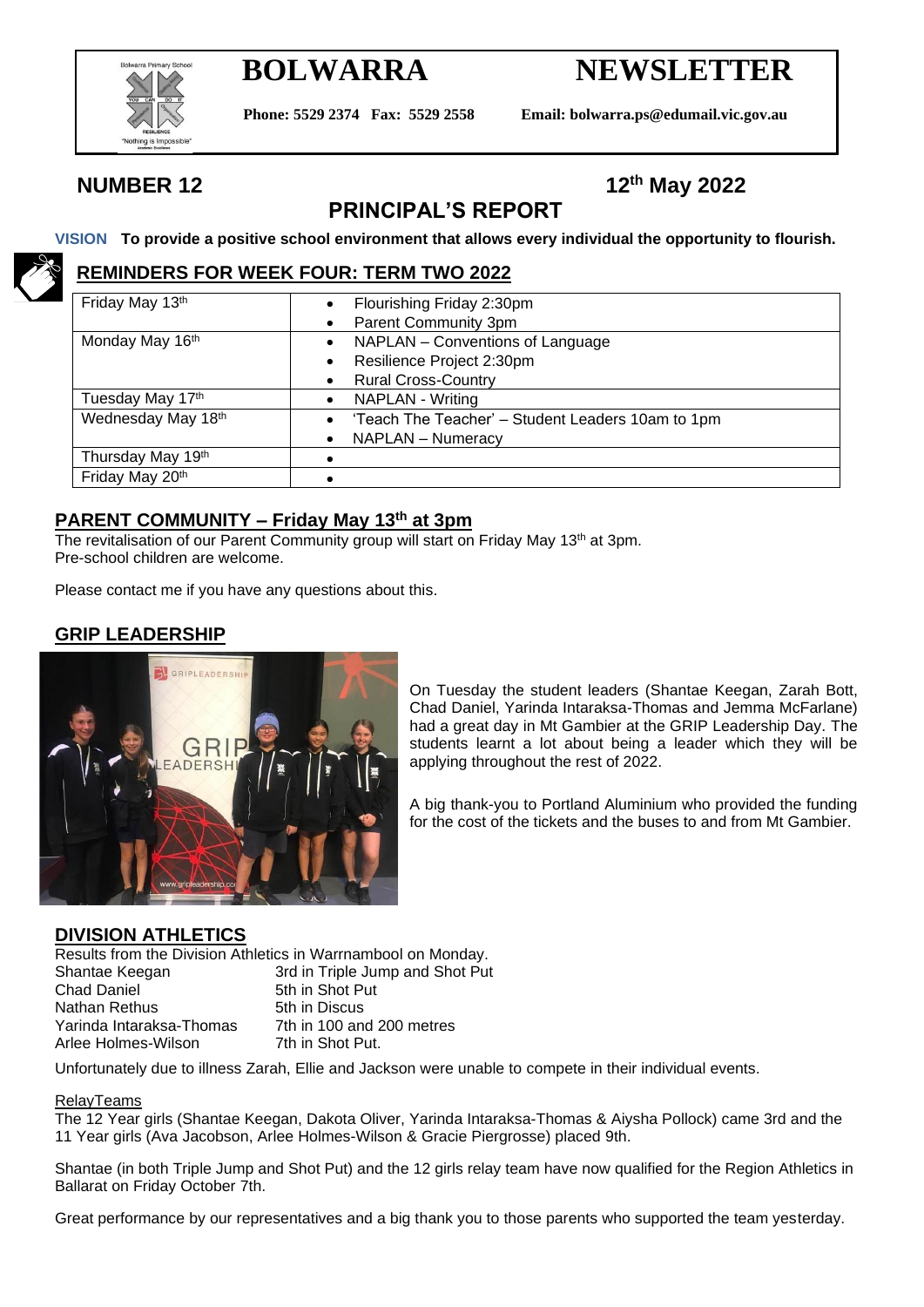

# **BOLWARRA NEWSLETTER**

**Phone: 5529 2374 Fax: 5529 2558 Email: bolwarra.ps@edumail.vic.gov.au**

## **NUMBER 12 12th May 2022**

## **PRINCIPAL'S REPORT**

#### **VISION To provide a positive school environment that allows every individual the opportunity to flourish.**

#### **REMINDERS FOR WEEK FOUR: TERM TWO 2022**

| Friday May 13th    | Flourishing Friday 2:30pm                         |  |  |  |
|--------------------|---------------------------------------------------|--|--|--|
|                    | Parent Community 3pm                              |  |  |  |
| Monday May 16th    | NAPLAN - Conventions of Language<br>٠             |  |  |  |
|                    | Resilience Project 2:30pm                         |  |  |  |
|                    | <b>Rural Cross-Country</b>                        |  |  |  |
| Tuesday May 17th   | <b>NAPLAN - Writing</b>                           |  |  |  |
| Wednesday May 18th | 'Teach The Teacher' - Student Leaders 10am to 1pm |  |  |  |
|                    | NAPLAN - Numeracy                                 |  |  |  |
| Thursday May 19th  |                                                   |  |  |  |
| Friday May 20th    |                                                   |  |  |  |

#### **PARENT COMMUNITY – Friday May 13th at 3pm**

The revitalisation of our Parent Community group will start on Friday May 13<sup>th</sup> at 3pm. Pre-school children are welcome.

Please contact me if you have any questions about this.

### **GRIP LEADERSHIP**



On Tuesday the student leaders (Shantae Keegan, Zarah Bott, Chad Daniel, Yarinda Intaraksa-Thomas and Jemma McFarlane) had a great day in Mt Gambier at the GRIP Leadership Day. The students learnt a lot about being a leader which they will be applying throughout the rest of 2022.

A big thank-you to Portland Aluminium who provided the funding for the cost of the tickets and the buses to and from Mt Gambier.

#### **DIVISION ATHLETICS**

Results from the Division Athletics in Warrnambool on Monday.

Shantae Keegan 3rd in Triple Jump and Shot Put Chad Daniel 5th in Shot Put Nathan Rethus 5th in Discus Yarinda Intaraksa-Thomas 7th in 100 and 200 metres<br>Arlee Holmes-Wilson 7th in Shot Put. Arlee Holmes-Wilson

Unfortunately due to illness Zarah, Ellie and Jackson were unable to compete in their individual events.

#### RelayTeams

The 12 Year girls (Shantae Keegan, Dakota Oliver, Yarinda Intaraksa-Thomas & Aiysha Pollock) came 3rd and the 11 Year girls (Ava Jacobson, Arlee Holmes-Wilson & Gracie Piergrosse) placed 9th.

Shantae (in both Triple Jump and Shot Put) and the 12 girls relay team have now qualified for the Region Athletics in Ballarat on Friday October 7th.

Great performance by our representatives and a big thank you to those parents who supported the team yesterday.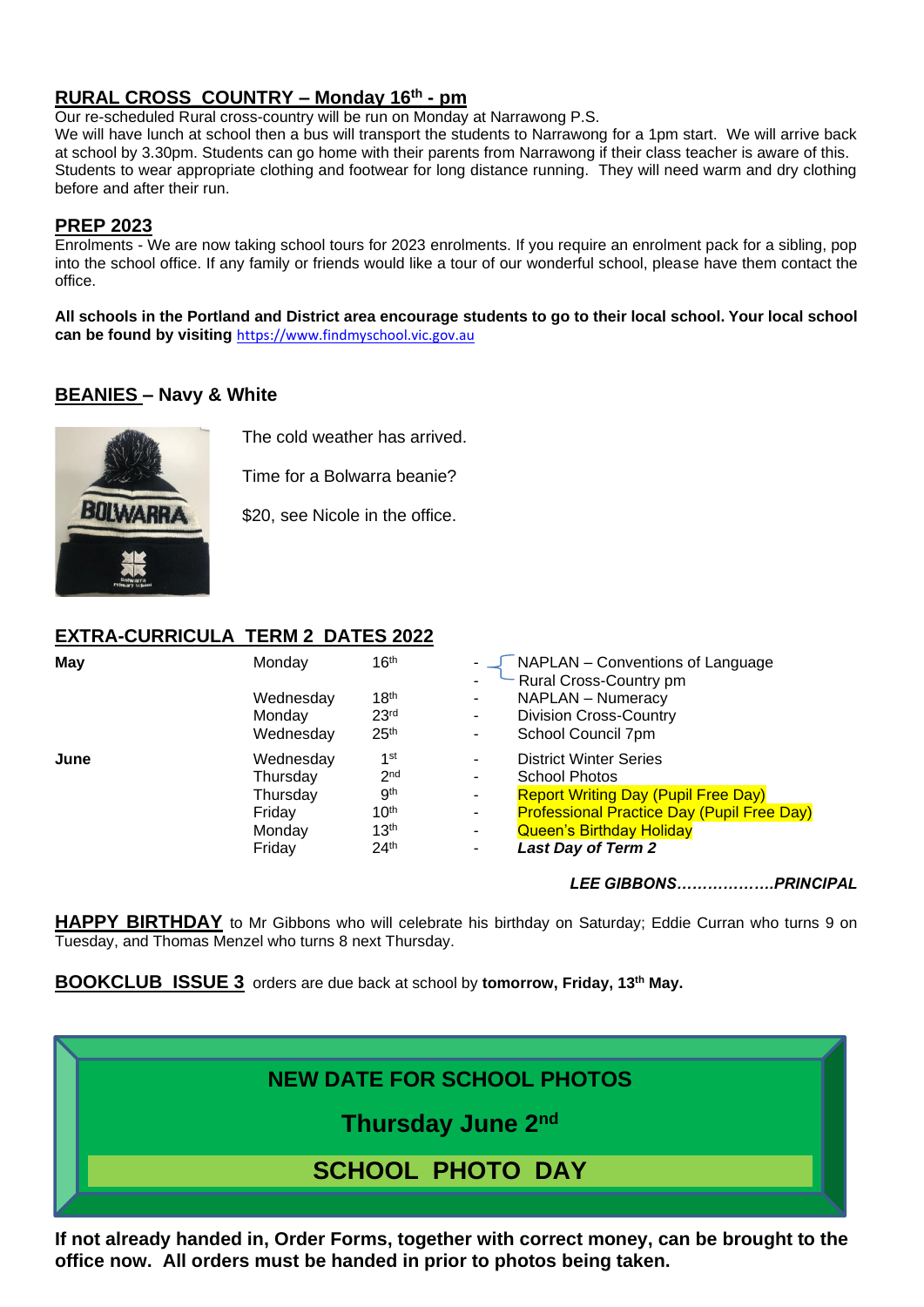#### **RURAL CROSS\_COUNTRY – Monday 16th - pm**

Our re-scheduled Rural cross-country will be run on Monday at Narrawong P.S.

We will have lunch at school then a bus will transport the students to Narrawong for a 1pm start. We will arrive back at school by 3.30pm. Students can go home with their parents from Narrawong if their class teacher is aware of this. Students to wear appropriate clothing and footwear for long distance running. They will need warm and dry clothing before and after their run.

#### **PREP 2023**

Enrolments - We are now taking school tours for 2023 enrolments. If you require an enrolment pack for a sibling, pop into the school office. If any family or friends would like a tour of our wonderful school, please have them contact the office.

**All schools in the Portland and District area encourage students to go to their local school. Your local school can be found by visiting** [https://www.findmyschool.vic.gov.au](https://www.findmyschool.vic.gov.au/)

#### **BEANIES – Navy & White**



The cold weather has arrived.

Time for a Bolwarra beanie?

\$20, see Nicole in the office.

### **EXTRA-CURRICULA TERM 2 DATES 2022**

| May  | Monday    | 16 <sup>th</sup> |    | NAPLAN - Conventions of Language<br>Rural Cross-Country pm |
|------|-----------|------------------|----|------------------------------------------------------------|
|      | Wednesday | 18 <sup>th</sup> | ۰. | <b>NAPLAN - Numeracy</b>                                   |
|      | Monday    | 23 <sup>rd</sup> | ۰. | <b>Division Cross-Country</b>                              |
|      | Wednesday | 25 <sup>th</sup> | ٠. | School Council 7pm                                         |
| June | Wednesday | 1st              | ۰. | <b>District Winter Series</b>                              |
|      | Thursday  | 2 <sub>nd</sub>  | ۰. | School Photos                                              |
|      | Thursday  | gth              | ۰. | <b>Report Writing Day (Pupil Free Day)</b>                 |
|      | Friday    | 10 <sup>th</sup> | ۰  | <b>Professional Practice Day (Pupil Free Day)</b>          |
|      | Monday    | 13 <sup>th</sup> | ٠. | <b>Queen's Birthday Holiday</b>                            |
|      | Friday    | 24 <sup>th</sup> | ۰. | <b>Last Day of Term 2</b>                                  |

*LEE GIBBONS……………….PRINCIPAL*

**HAPPY BIRTHDAY** to Mr Gibbons who will celebrate his birthday on Saturday; Eddie Curran who turns 9 on Tuesday, and Thomas Menzel who turns 8 next Thursday.

**BOOKCLUB ISSUE 3** orders are due back at school by **tomorrow, Friday, 13th May.**



**If not already handed in, Order Forms, together with correct money, can be brought to the office now. All orders must be handed in prior to photos being taken.**